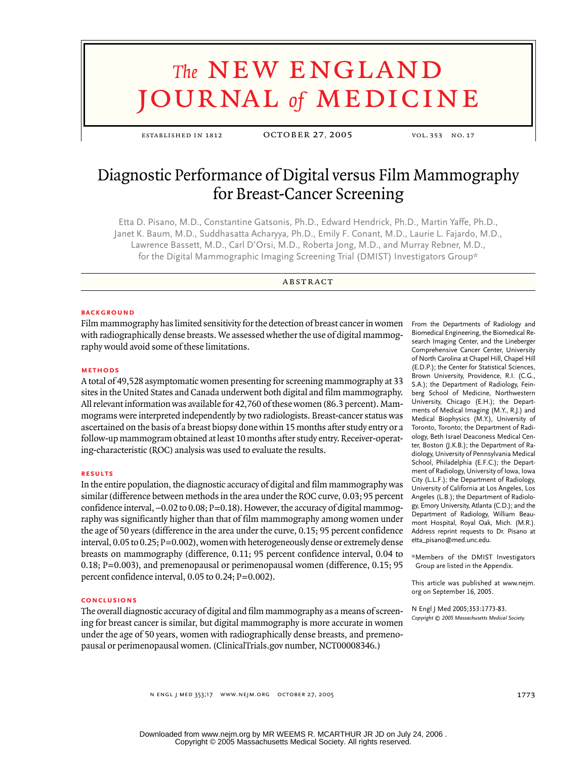# **The NEW ENGLAND** journal *of* medicine

established in 1812 october 27, 2005 vol. 353 no. 17

# Diagnostic Performance of Digital versus Film Mammography for Breast-Cancer Screening

Etta D. Pisano, M.D., Constantine Gatsonis, Ph.D., Edward Hendrick, Ph.D., Martin Yaffe, Ph.D., Janet K. Baum, M.D., Suddhasatta Acharyya, Ph.D., Emily F. Conant, M.D., Laurie L. Fajardo, M.D., Lawrence Bassett, M.D., Carl D'Orsi, M.D., Roberta Jong, M.D., and Murray Rebner, M.D., for the Digital Mammographic Imaging Screening Trial (DMIST) Investigators Group\*

**ABSTRACT** 

#### **BACKGROUND**

Film mammography has limited sensitivity for the detection of breast cancer in women with radiographically dense breasts. We assessed whether the use of digital mammography would avoid some of these limitations.

# **methods**

A total of 49,528 asymptomatic women presenting for screening mammography at 33 sites in the United States and Canada underwent both digital and film mammography. All relevant information was available for 42,760 of these women (86.3 percent). Mammograms were interpreted independently by two radiologists. Breast-cancer status was ascertained on the basis of a breast biopsy done within 15 months after study entry or a follow-up mammogram obtained at least 10 months after study entry. Receiver-operating-characteristic (ROC) analysis was used to evaluate the results.

# **results**

In the entire population, the diagnostic accuracy of digital and film mammography was similar (difference between methods in the area under the ROC curve, 0.03; 95 percent confidence interval,  $-0.02$  to  $0.08$ ; P=0.18). However, the accuracy of digital mammography was significantly higher than that of film mammography among women under the age of 50 years (difference in the area under the curve, 0.15; 95 percent confidence interval,  $0.05$  to  $0.25$ ;  $P=0.002$ ), women with heterogeneously dense or extremely dense breasts on mammography (difference, 0.11; 95 percent confidence interval, 0.04 to 0.18; P=0.003), and premenopausal or perimenopausal women (difference, 0.15; 95 percent confidence interval, 0.05 to 0.24; P=0.002).

## **conclusions**

The overall diagnostic accuracy of digital and film mammography as a means of screening for breast cancer is similar, but digital mammography is more accurate in women under the age of 50 years, women with radiographically dense breasts, and premenopausal or perimenopausal women. (ClinicalTrials.gov number, NCT00008346.)

From the Departments of Radiology and Biomedical Engineering, the Biomedical Research Imaging Center, and the Lineberger Comprehensive Cancer Center, University of North Carolina at Chapel Hill, Chapel Hill (E.D.P.); the Center for Statistical Sciences, Brown University, Providence, R.I. (C.G., S.A.); the Department of Radiology, Feinberg School of Medicine, Northwestern University, Chicago (E.H.); the Departments of Medical Imaging (M.Y., R.J.) and Medical Biophysics (M.Y.), University of Toronto, Toronto; the Department of Radiology, Beth Israel Deaconess Medical Center, Boston (J.K.B.); the Department of Radiology, University of Pennsylvania Medical School, Philadelphia (E.F.C.); the Department of Radiology, University of Iowa, Iowa City (L.L.F.); the Department of Radiology, University of California at Los Angeles, Los Angeles (L.B.); the Department of Radiology, Emory University, Atlanta (C.D.); and the Department of Radiology, William Beaumont Hospital, Royal Oak, Mich. (M.R.). Address reprint requests to Dr. Pisano at etta\_pisano@med.unc.edu.

\*Members of the DMIST Investigators Group are listed in the Appendix.

This article was published at www.nejm. org on September 16, 2005.

N Engl J Med 2005;353:1773-83. *Copyright © 2005 Massachusetts Medical Society.*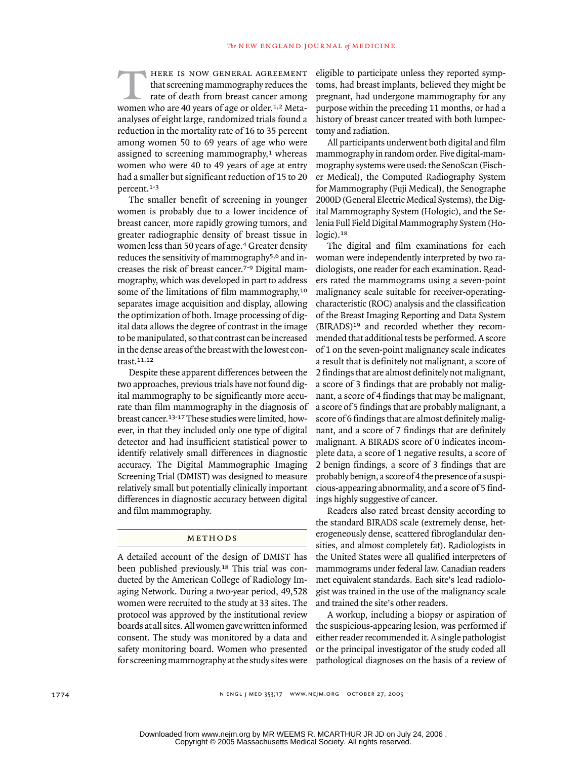here is now general agreement that screening mammography reduces the rate of death from breast cancer among women who are 40 years of age or older.1,2 Metaanalyses of eight large, randomized trials found a reduction in the mortality rate of 16 to 35 percent among women 50 to 69 years of age who were assigned to screening mammography,<sup>1</sup> whereas women who were 40 to 49 years of age at entry had a smaller but significant reduction of 15 to 20 percent.1-3  $\overline{T}$ 

The smaller benefit of screening in younger women is probably due to a lower incidence of breast cancer, more rapidly growing tumors, and greater radiographic density of breast tissue in women less than 50 years of age.4 Greater density reduces the sensitivity of mammography5,6 and increases the risk of breast cancer.7-9 Digital mammography, which was developed in part to address some of the limitations of film mammography,<sup>10</sup> separates image acquisition and display, allowing the optimization of both. Image processing of digital data allows the degree of contrast in the image to be manipulated, so that contrast can be increased in the dense areas of the breast with the lowest contrast.11,12

Despite these apparent differences between the two approaches, previous trials have not found digital mammography to be significantly more accurate than film mammography in the diagnosis of breast cancer.13-17 These studies were limited, however, in that they included only one type of digital detector and had insufficient statistical power to identify relatively small differences in diagnostic accuracy. The Digital Mammographic Imaging Screening Trial (DMIST) was designed to measure relatively small but potentially clinically important differences in diagnostic accuracy between digital and film mammography.

#### METHODS

A detailed account of the design of DMIST has been published previously.18 This trial was conducted by the American College of Radiology Imaging Network. During a two-year period, 49,528 women were recruited to the study at 33 sites. The protocol was approved by the institutional review boards at all sites. All women gave written informed consent. The study was monitored by a data and safety monitoring board. Women who presented for screening mammography at the study sites were eligible to participate unless they reported symptoms, had breast implants, believed they might be pregnant, had undergone mammography for any purpose within the preceding 11 months, or had a history of breast cancer treated with both lumpectomy and radiation.

All participants underwent both digital and film mammography in random order. Five digital-mammography systems were used: the SenoScan (Fischer Medical), the Computed Radiography System for Mammography (Fuji Medical), the Senographe 2000D (General Electric Medical Systems), the Digital Mammography System (Hologic), and the Selenia Full Field Digital Mammography System (Hologic).<sup>18</sup>

The digital and film examinations for each woman were independently interpreted by two radiologists, one reader for each examination. Readers rated the mammograms using a seven-point malignancy scale suitable for receiver-operatingcharacteristic (ROC) analysis and the classification of the Breast Imaging Reporting and Data System (BIRADS)19 and recorded whether they recommended that additional tests be performed. A score of 1 on the seven-point malignancy scale indicates a result that is definitely not malignant, a score of 2 findings that are almost definitely not malignant, a score of 3 findings that are probably not malignant, a score of 4 findings that may be malignant, a score of 5 findings that are probably malignant, a score of 6 findings that are almost definitely malignant, and a score of 7 findings that are definitely malignant. A BIRADS score of 0 indicates incomplete data, a score of 1 negative results, a score of 2 benign findings, a score of 3 findings that are probably benign, a score of 4 the presence of a suspicious-appearing abnormality, and a score of 5 findings highly suggestive of cancer.

Readers also rated breast density according to the standard BIRADS scale (extremely dense, heterogeneously dense, scattered fibroglandular densities, and almost completely fat). Radiologists in the United States were all qualified interpreters of mammograms under federal law. Canadian readers met equivalent standards. Each site's lead radiologist was trained in the use of the malignancy scale and trained the site's other readers.

A workup, including a biopsy or aspiration of the suspicious-appearing lesion, was performed if either reader recommended it. A single pathologist or the principal investigator of the study coded all pathological diagnoses on the basis of a review of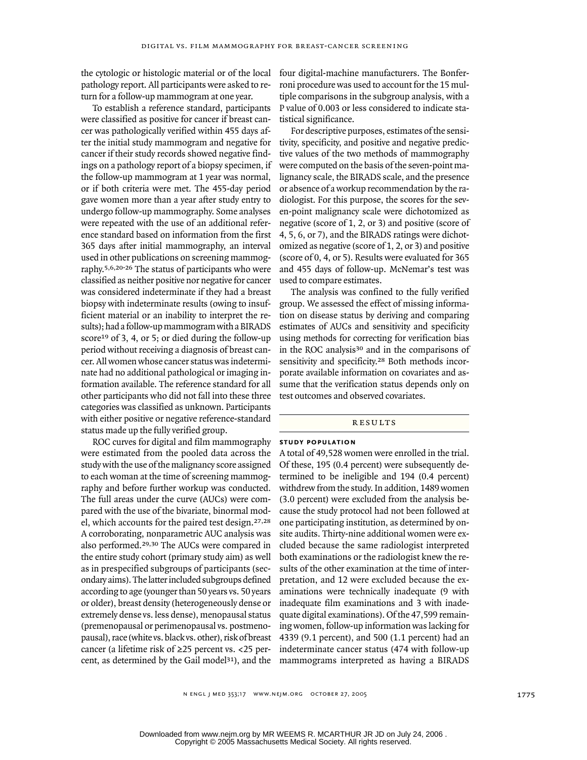the cytologic or histologic material or of the local pathology report. All participants were asked to return for a follow-up mammogram at one year.

To establish a reference standard, participants were classified as positive for cancer if breast cancer was pathologically verified within 455 days after the initial study mammogram and negative for cancer if their study records showed negative findings on a pathology report of a biopsy specimen, if the follow-up mammogram at 1 year was normal, or if both criteria were met. The 455-day period gave women more than a year after study entry to undergo follow-up mammography. Some analyses were repeated with the use of an additional reference standard based on information from the first 365 days after initial mammography, an interval used in other publications on screening mammography.5,6,20-26 The status of participants who were classified as neither positive nor negative for cancer was considered indeterminate if they had a breast biopsy with indeterminate results (owing to insufficient material or an inability to interpret the results); had a follow-up mammogram with a BIRADS score<sup>19</sup> of 3, 4, or 5; or died during the follow-up period without receiving a diagnosis of breast cancer. All women whose cancer status was indeterminate had no additional pathological or imaging information available. The reference standard for all other participants who did not fall into these three categories was classified as unknown. Participants with either positive or negative reference-standard status made up the fully verified group.

ROC curves for digital and film mammography were estimated from the pooled data across the study with the use of the malignancy score assigned to each woman at the time of screening mammography and before further workup was conducted. The full areas under the curve (AUCs) were compared with the use of the bivariate, binormal model, which accounts for the paired test design.27,28 A corroborating, nonparametric AUC analysis was also performed.29,30 The AUCs were compared in the entire study cohort (primary study aim) as well as in prespecified subgroups of participants (secondary aims). The latter included subgroups defined according to age (younger than 50 years vs. 50 years or older), breast density (heterogeneously dense or extremely dense vs. less dense), menopausal status (premenopausal or perimenopausal vs. postmenopausal), race (white vs. black vs. other), risk of breast cancer (a lifetime risk of ≥25 percent vs. <25 percent, as determined by the Gail model<sup>31</sup>), and the four digital-machine manufacturers. The Bonferroni procedure was used to account for the 15 multiple comparisons in the subgroup analysis, with a P value of 0.003 or less considered to indicate statistical significance.

For descriptive purposes, estimates of the sensitivity, specificity, and positive and negative predictive values of the two methods of mammography were computed on the basis of the seven-point malignancy scale, the BIRADS scale, and the presence or absence of a workup recommendation by the radiologist. For this purpose, the scores for the seven-point malignancy scale were dichotomized as negative (score of 1, 2, or 3) and positive (score of 4, 5, 6, or 7), and the BIRADS ratings were dichotomized as negative (score of 1, 2, or 3) and positive (score of 0, 4, or 5). Results were evaluated for 365 and 455 days of follow-up. McNemar's test was used to compare estimates.

The analysis was confined to the fully verified group. We assessed the effect of missing information on disease status by deriving and comparing estimates of AUCs and sensitivity and specificity using methods for correcting for verification bias in the ROC analysis30 and in the comparisons of sensitivity and specificity.<sup>28</sup> Both methods incorporate available information on covariates and assume that the verification status depends only on test outcomes and observed covariates.

#### results

#### **study population**

A total of 49,528 women were enrolled in the trial. Of these, 195 (0.4 percent) were subsequently determined to be ineligible and 194 (0.4 percent) withdrew from the study. In addition, 1489 women (3.0 percent) were excluded from the analysis because the study protocol had not been followed at one participating institution, as determined by onsite audits. Thirty-nine additional women were excluded because the same radiologist interpreted both examinations or the radiologist knew the results of the other examination at the time of interpretation, and 12 were excluded because the examinations were technically inadequate (9 with inadequate film examinations and 3 with inadequate digital examinations). Of the 47,599 remaining women, follow-up information was lacking for 4339 (9.1 percent), and 500 (1.1 percent) had an indeterminate cancer status (474 with follow-up mammograms interpreted as having a BIRADS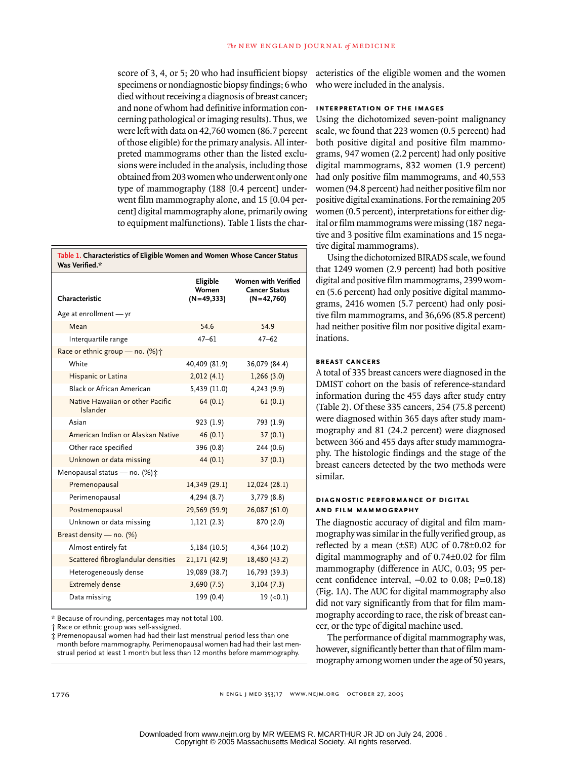score of 3, 4, or 5; 20 who had insufficient biopsy specimens or nondiagnostic biopsy findings; 6 who died without receiving a diagnosis of breast cancer; and none of whom had definitive information concerning pathological or imaging results). Thus, we were left with data on 42,760 women (86.7 percent of those eligible) for the primary analysis. All interpreted mammograms other than the listed exclusions were included in the analysis, including those obtained from 203 women who underwent only one type of mammography (188 [0.4 percent] underwent film mammography alone, and 15 [0.04 percent] digital mammography alone, primarily owing to equipment malfunctions). Table 1 lists the char-

**Table 1. Characteristics of Eligible Women and Women Whose Cancer Status Was Verified.\***

| Characteristic                               | Eligible<br>Women<br>$(N=49,333)$ | <b>Women with Verified</b><br><b>Cancer Status</b><br>$(N=42,760)$ |
|----------------------------------------------|-----------------------------------|--------------------------------------------------------------------|
| Age at enrollment - yr                       |                                   |                                                                    |
| Mean                                         | 54.6                              | 54.9                                                               |
| Interquartile range                          | $47 - 61$                         | $47 - 62$                                                          |
| Race or ethnic group - no. (%) +             |                                   |                                                                    |
| White                                        | 40,409 (81.9)                     | 36,079 (84.4)                                                      |
| Hispanic or Latina                           | 2,012(4.1)                        | 1,266(3.0)                                                         |
| Black or African American                    | 5,439 (11.0)                      | 4,243 (9.9)                                                        |
| Native Hawaiian or other Pacific<br>Islander | 64(0.1)                           | 61(0.1)                                                            |
| Asian                                        | 923 (1.9)                         | 793 (1.9)                                                          |
| American Indian or Alaskan Native            | 46(0.1)                           | 37(0.1)                                                            |
| Other race specified                         | 396 (0.8)                         | 244(0.6)                                                           |
| Unknown or data missing                      | 44 $(0.1)$                        | 37(0.1)                                                            |
| Menopausal status - no. (%) :                |                                   |                                                                    |
| Premenopausal                                | 14,349 (29.1)                     | 12,024 (28.1)                                                      |
| Perimenopausal                               | 4,294 (8.7)                       | 3,779 (8.8)                                                        |
| Postmenopausal                               | 29,569 (59.9)                     | 26,087 (61.0)                                                      |
| Unknown or data missing                      | 1,121(2.3)                        | 870 (2.0)                                                          |
| Breast density - no. (%)                     |                                   |                                                                    |
| Almost entirely fat                          | 5,184 (10.5)                      | 4,364 (10.2)                                                       |
| Scattered fibroglandular densities           | 21,171 (42.9)                     | 18,480 (43.2)                                                      |
| Heterogeneously dense                        | 19,089 (38.7)                     | 16,793 (39.3)                                                      |
| <b>Extremely dense</b>                       | 3,690(7.5)                        | 3,104(7.3)                                                         |
| Data missing                                 | 199 (0.4)                         | $19$ (<0.1)                                                        |

\* Because of rounding, percentages may not total 100.

† Race or ethnic group was self-assigned.

‡ Premenopausal women had had their last menstrual period less than one month before mammography. Perimenopausal women had had their last menstrual period at least 1 month but less than 12 months before mammography.

acteristics of the eligible women and the women who were included in the analysis.

#### **interpretation of the images**

Using the dichotomized seven-point malignancy scale, we found that 223 women (0.5 percent) had both positive digital and positive film mammograms, 947 women (2.2 percent) had only positive digital mammograms, 832 women (1.9 percent) had only positive film mammograms, and 40,553 women (94.8 percent) had neither positive film nor positive digital examinations. For the remaining 205 women (0.5 percent), interpretations for either digital or film mammograms were missing (187 negative and 3 positive film examinations and 15 negative digital mammograms).

Using the dichotomized BIRADS scale, we found that 1249 women (2.9 percent) had both positive digital and positive film mammograms, 2399 women (5.6 percent) had only positive digital mammograms, 2416 women (5.7 percent) had only positive film mammograms, and 36,696 (85.8 percent) had neither positive film nor positive digital examinations.

#### **breast cancers**

A total of 335 breast cancers were diagnosed in the DMIST cohort on the basis of reference-standard information during the 455 days after study entry (Table 2). Of these 335 cancers, 254 (75.8 percent) were diagnosed within 365 days after study mammography and 81 (24.2 percent) were diagnosed between 366 and 455 days after study mammography. The histologic findings and the stage of the breast cancers detected by the two methods were similar.

#### **diagnostic performance of digital and film mammography**

The diagnostic accuracy of digital and film mammography was similar in the fully verified group, as reflected by a mean (±SE) AUC of 0.78±0.02 for digital mammography and of 0.74±0.02 for film mammography (difference in AUC, 0.03; 95 percent confidence interval,  $-0.02$  to 0.08; P=0.18) (Fig. 1A). The AUC for digital mammography also did not vary significantly from that for film mammography according to race, the risk of breast cancer, or the type of digital machine used.

The performance of digital mammography was, however, significantly better than that of film mammography among women under the age of 50 years,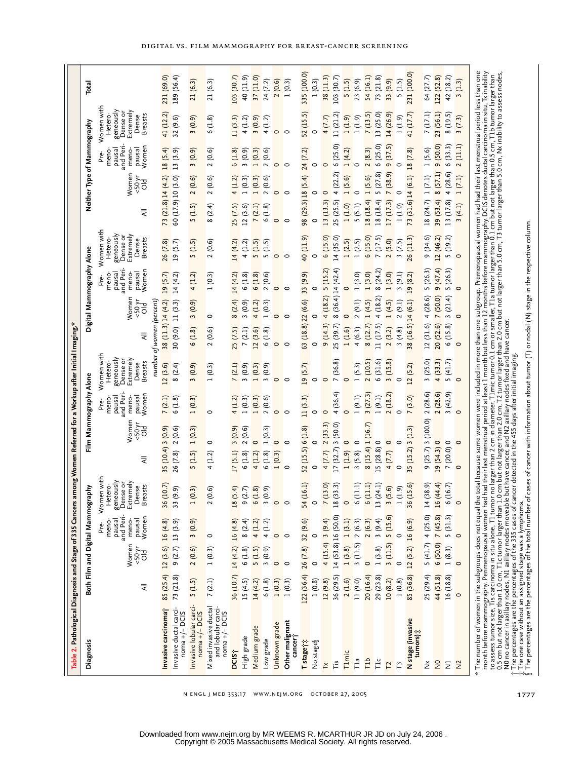| Table 2. Pathological Diagnosis and Stage of 335 Cancers a                                                                                                                        |                                                  |                           |                                                                  |                                                                                        | mong Women Referred for a Workup after Initial Imaging.*                                                                                                                                                                                                                                                                                                                 |                                                                 |                                                                                        |                                          |                                |                                                                 |                                                                                       |                    |                                |                                                                 |                                                                                       |             |
|-----------------------------------------------------------------------------------------------------------------------------------------------------------------------------------|--------------------------------------------------|---------------------------|------------------------------------------------------------------|----------------------------------------------------------------------------------------|--------------------------------------------------------------------------------------------------------------------------------------------------------------------------------------------------------------------------------------------------------------------------------------------------------------------------------------------------------------------------|-----------------------------------------------------------------|----------------------------------------------------------------------------------------|------------------------------------------|--------------------------------|-----------------------------------------------------------------|---------------------------------------------------------------------------------------|--------------------|--------------------------------|-----------------------------------------------------------------|---------------------------------------------------------------------------------------|-------------|
| <b>Diagnosis</b>                                                                                                                                                                  |                                                  |                           | Both Film and Digital Mammography                                |                                                                                        |                                                                                                                                                                                                                                                                                                                                                                          | Film Mammography Alone                                          |                                                                                        |                                          |                                | Digital Mammography Alone                                       |                                                                                       |                    |                                | Neither Type of Mammography                                     |                                                                                       | Total       |
|                                                                                                                                                                                   | ₹                                                | Women<br>50 <sub>yd</sub> | and Peri-<br>pausal<br>Women<br>meno-<br>pausal<br>meno-<br>Pre- | Women with<br>geneously<br>Dense or<br>Extremely<br>Hetero-<br><b>Breasts</b><br>Dense | Women<br>50 <sub>yr</sub><br>공<br>₹                                                                                                                                                                                                                                                                                                                                      | and Peri-<br>Women<br>meno-<br>pausal<br>pausa<br>meno-<br>Pre- | Women with<br>geneously<br>Extremely<br>Dense or<br><b>Breasts</b><br>Hetero-<br>Dense | ₹                                        | Women<br>50 <sub>yr</sub><br>공 | and Peri-<br>Women<br>pausal<br>meno-<br>meno-<br>pausa<br>Pre- | Women with<br>geneously<br>Extremely<br>Dense o<br>Hetero-<br><b>Breasts</b><br>Dense | ₹                  | Women<br>50 <sub>yr</sub><br>공 | and Peri-<br>Women<br>meno-<br>pausal<br>pausal<br>meno<br>Pre- | Women with<br>geneously<br>Extremely<br>Dense o<br><b>Breasts</b><br>Hetero-<br>Dense |             |
| Invasive carcinoma j                                                                                                                                                              | 85 (25.4)                                        | 12(3.6)                   | 16(4.8)                                                          | (10.7)<br>36 (I                                                                        | 3(0.9)<br>35 (10.4)                                                                                                                                                                                                                                                                                                                                                      | 7(2.1)                                                          | number<br>12 (3.6)                                                                     | 38 (11.3) 14 (4.2)<br>of women (percent) |                                | 19(5.7)                                                         | 26 (7.8)                                                                              | 73 (21.8) 14 (4.2) |                                | 18(5.4)                                                         | 41 (12.2)                                                                             | 231 (69.0)  |
| Invasive ductal carci-<br>noma +/- DCIS                                                                                                                                           | 73 (21.8)                                        | 9(2.7)                    | 13 (3.9)                                                         | 9.9)<br>33 <sup>°</sup>                                                                | 2(0.6)<br>26 (7.8)                                                                                                                                                                                                                                                                                                                                                       | 6(1.8)                                                          | 8(2.4)                                                                                 | $30(9.0)$ 11 $(3.3)$                     |                                | 14(4.2)                                                         | 19 (5.7)                                                                              | 60 (17.9) 10 (3.0) |                                | 13(3.9)                                                         | 32 (9.6)                                                                              | 189 (56.4)  |
| Invasive lobular carci-<br>$noma + / - DCIS$                                                                                                                                      | 5(1.5)                                           | 2(0.6)                    | 3(0.9)                                                           | 1(0.3)                                                                                 | 1(0.3)<br>5(1.5)                                                                                                                                                                                                                                                                                                                                                         | 1(0.3)                                                          | (0.9)<br>3                                                                             | 6(1.8)                                   | 3(0.9)                         | 4 (1.2)                                                         | 5(1.5)                                                                                | 5(1.5)             | 2(0.6)                         | 3(0.9)                                                          | 3(0.9)                                                                                | 21(6.3)     |
| Mixed invasive ductal<br>and lobular carci<br>noma $+/-$ DCIS                                                                                                                     | 7(2.1)                                           | 1(0.3)                    | $\circ$                                                          | ତି<br>2 (0.                                                                            | 0<br>(1.2)<br>4                                                                                                                                                                                                                                                                                                                                                          | $\circ$                                                         | (0.3)<br>$\overline{\phantom{0}}$                                                      | (0.6)<br>2                               | 0                              | 1(0.3)                                                          | 2(0.6)                                                                                | 8(2.4)             | 2(0.6)                         | 2(0.6)                                                          | (1.8)<br>9                                                                            | 21 (6.3)    |
| <b>DCIS</b>                                                                                                                                                                       | 36 (10.7)                                        | 14(4.2)                   | 16(4.8)                                                          | (5.4)<br>$\overline{18}$                                                               | 3(0.9)<br>17(5.1)                                                                                                                                                                                                                                                                                                                                                        | 4(1.2)                                                          | 7(2.1)                                                                                 | 25(7.5)                                  | 8(2.4)                         | 14(4.2)                                                         | 14 (4.2)                                                                              | 25 (7.5)           | 4(1.2)                         | 6(1.8)                                                          | 11 (3.3)                                                                              | 103 (30.7)  |
| High grade                                                                                                                                                                        | 15(4.5)                                          | 6(1.8)                    | 8(2.4)                                                           | 9(2.7)                                                                                 | (0.6)<br>6(1.8)                                                                                                                                                                                                                                                                                                                                                          | 1(0.3)                                                          | 3(0.9)                                                                                 | 7(2.1)                                   | 3(0.9)                         | 6(1.8)                                                          | 4(1.2)                                                                                | 12(3.6)            | 1(0.3)                         | 3(0.9)                                                          | 4(1.2)                                                                                | 40 (11.9)   |
| Medium grade                                                                                                                                                                      | 14(4.2)                                          | 5(1.5)                    | 4(1.2)                                                           | 1.8)<br>$\frac{1}{6}$                                                                  | 0<br>4 (1.2)                                                                                                                                                                                                                                                                                                                                                             | 1(0.3)                                                          | 1(0.3)                                                                                 | 12 (3.6)                                 | 4 (1.2)                        | 6(1.8)                                                          | 5(1.5)                                                                                | 7(2.1)             | 1(0.3)                         | 1(0.3)                                                          | 3(0.9)                                                                                | 37(11.0)    |
| Low grade                                                                                                                                                                         | 6(1.8)                                           | 3(0.9)                    | 4 (1.2)                                                          | <u>କ୍</u><br>3(0.                                                                      | (0.3)<br>(1.8)<br>9                                                                                                                                                                                                                                                                                                                                                      | 2(0.6)                                                          | 3(0.9)                                                                                 | 6(1.8)                                   | (0.3)                          | 2(0.6)                                                          | 5(1.5)                                                                                | 6(1.8)             | 2(0.6)                         | 2(0.6)                                                          | 4(1.2)                                                                                | 24 (7.2)    |
| Unknown grade                                                                                                                                                                     | $\frac{1(0.3)}{1(0.3)}$                          | $\circ$                   | $\circ$                                                          | $\circ$                                                                                | 0<br>1(0.3)                                                                                                                                                                                                                                                                                                                                                              | $\circ$                                                         | $\circ$                                                                                | $\circ$                                  | $\circ$                        | $\circ$                                                         | $\circ$                                                                               | $\circ$            | $\circ$                        | $\circ$                                                         | $\circ$                                                                               | 2(0.6)      |
| Other malignant<br>cancer <sup>-</sup>                                                                                                                                            |                                                  | $\circ$                   | $\circ$                                                          | $\circ$                                                                                | $\circ$                                                                                                                                                                                                                                                                                                                                                                  | $\circ$                                                         | $\circ$                                                                                | $\circ$                                  | $\circ$                        | $\circ$                                                         | $\circ$                                                                               | $\circ$            | $\circ$                        | $\circ$                                                         | $\circ$                                                                               | 1(0.3)      |
| Tstage <sup>1</sup>                                                                                                                                                               | 122 (36.4)                                       | 26 (7.8)                  | 32 (9.6)                                                         | 6.1)<br>54 <sub>1</sub>                                                                | 52 (15.5) 6 (1.8)                                                                                                                                                                                                                                                                                                                                                        | 11(3.3)                                                         | 19(5.7)                                                                                | 63 (18.8) 22 (6.6)                       |                                | 33 (9.9)                                                        | 40 (11.9)                                                                             | 98 (29.3) 18 (5.4) |                                | 24 (7.2)                                                        | 52 (15.5)                                                                             | 335 (100.0) |
| No stage                                                                                                                                                                          | 1(0.8)                                           | $\circ$                   | $\circ$                                                          | $\circ$                                                                                | $\circ$                                                                                                                                                                                                                                                                                                                                                                  | $\circ$                                                         | $\circ$                                                                                | 0                                        |                                | $\circ$                                                         | $\circ$                                                                               | $\circ$            |                                | $\circ$                                                         | 0                                                                                     | 1(0.3)      |
| $\breve{\mathbf{r}}$                                                                                                                                                              | 12(9.8)                                          |                           | $4(15.4)$ 3 (9.4)                                                | 13.0)<br>$\overline{z}$                                                                | 2(33.3)<br>4(7.7)                                                                                                                                                                                                                                                                                                                                                        | $\circ$                                                         | $\circ$                                                                                | 9(14.3)                                  | 4(18.2)                        | 5 (15.2)                                                        | 6(15.0)                                                                               | 13 (13.3)          | $\circ$                        | $\circ$                                                         | 4(7.7)                                                                                | 38 (11.3)   |
| Τís                                                                                                                                                                               | 36 (29.5)                                        |                           | 14 (53.8) 16 (50.0)                                              | 33.3)<br>18(                                                                           | 17(32.7)3(50.0)                                                                                                                                                                                                                                                                                                                                                          | 4(36.4)                                                         | 7 (36.8)                                                                               | 25 (39.7)                                | 8 (36.4) 14 (42.4)             |                                                                 | 14 (35.0)                                                                             | 25 (25.5)          | 4(22.2)                        | 6(25.0)                                                         | 11 (21.2)                                                                             | 103 (30.7)  |
| Tlmic                                                                                                                                                                             | $\begin{array}{c} 2(1.6) \\ 11(9.0) \end{array}$ | 1(3.8)                    | 1(3.1)                                                           | $\circ$                                                                                | (6.1)1                                                                                                                                                                                                                                                                                                                                                                   | $\circ$                                                         | $\circ$                                                                                | 1(1.6)                                   | $\circ$                        | $\circ$                                                         | 1(2.5)                                                                                | 1(1.0)             | 1(5.6)                         | 1(4.2)                                                          | (6.1)1                                                                                | 5(1.5)      |
| Пa                                                                                                                                                                                |                                                  | 3(11.5)                   | 2(6.3)                                                           | $\Box$<br>$\widetilde{\circ}$                                                          | $\circ$<br>3(5.8)                                                                                                                                                                                                                                                                                                                                                        | 1(9.1)                                                          | 1(5.3)                                                                                 | 4(6.3)                                   | 2(9.1)                         | 1(3.0)                                                          | 1(2.5)                                                                                | 5(5.1)             | $\circ$                        | $\circ$                                                         | (6.1)1                                                                                | 23 (6.9)    |
| Tlb                                                                                                                                                                               | 20 (16.4)                                        | $\circ$                   | 2(6.3)                                                           | 11.1<br>ہ                                                                              | (5.7)<br>8(15.4)                                                                                                                                                                                                                                                                                                                                                         | 3(27.3)                                                         | 2(10.5)                                                                                | 8(12.7)                                  | 1(4.5)                         | 1(3.0)                                                          | 6(15.0)                                                                               | 18 (18.4)          | 1(5.6)                         | 2(8.3)                                                          | 7(13.5)                                                                               | 54 (16.1)   |
| $\overline{\Gamma}$                                                                                                                                                               | 29 (23.8)                                        | 1(3.8)                    | 3(9.4)                                                           | 24.1)<br>$\frac{13}{ }$                                                                | 15 (28.8) 0                                                                                                                                                                                                                                                                                                                                                              | 1(9.1)                                                          | 6(31.6)                                                                                | 11 (17.5)                                | 4(18.2)                        | 8(24.2)                                                         | 7(17.5)                                                                               | 18 (18.4)          | 5(27.8)                        | 6(25.0)                                                         | 13 (25.0)                                                                             | 73 (21.8)   |
| <b>Z</b>                                                                                                                                                                          | 10(8.2)                                          | 3(11.5)                   | 5 (15.6)                                                         | 5.6)<br>$\frac{1}{2}$                                                                  | $\circ$<br>4(7.7)                                                                                                                                                                                                                                                                                                                                                        | 2(18.2)                                                         | 3(15.8)                                                                                | 2(3.2)                                   | 1(4.5)                         | 1(3.0)                                                          | 2(5.0)                                                                                | 17 (17.3)          | 7 (38.9)                       | 9(37.5)                                                         | 14 (26.9)                                                                             | 33 (9.9)    |
|                                                                                                                                                                                   | 1(0.8)                                           | $\circ$                   | 0                                                                | 1.9)<br>$\overline{a}$                                                                 | $\circ$                                                                                                                                                                                                                                                                                                                                                                  | $\circ$                                                         | 0                                                                                      | 3(4.8)                                   | 2(9.1)                         | 3(9.1)                                                          | 3(7.5)                                                                                | 1(1.0)             | $\circ$                        | $\circ$                                                         | (6.1)1                                                                                | 5(1.5)      |
| N stage (invasive<br>tumors):                                                                                                                                                     | 85 (36.8)                                        | 12(5.2)                   | 16 (6.9)                                                         | 5.6<br>36(                                                                             | 35(15.2)3(1.3)                                                                                                                                                                                                                                                                                                                                                           | 7(3.0)                                                          | 12(5.2)                                                                                | (16.5)<br>38                             | 14 (6.1)                       | 19(8.2)                                                         | 26 (11.3)                                                                             | 73 (31.6) 14 (6.1) |                                | 18 (7.8)                                                        | (17.7)<br>$\overline{4}$                                                              | 231 (100.0) |
| ž                                                                                                                                                                                 | 25 (29.4)                                        | 5(41.7)                   | 4(25.0)                                                          | 38.9<br>14(                                                                            | $(25.7)$ 3 $(100.0)$<br>G                                                                                                                                                                                                                                                                                                                                                | 2(28.6)                                                         | 3(25.0)                                                                                | 12(31.6)                                 | 4(28.6)                        | 5(26.3)                                                         | 9(34.6)                                                                               | 18 (24.7)          | 1(7.1)                         | 1(5.6)                                                          | 7(17.1)                                                                               | 64 (27.7)   |
| $\frac{1}{2}$                                                                                                                                                                     | 44 (51.8)                                        | 6(50.0)                   | 7(45.8)                                                          | 16(44.4)                                                                               | 19(54.3)0                                                                                                                                                                                                                                                                                                                                                                | 2(28.6)                                                         | 4(33.3)                                                                                | 20 (52.6)                                | 7 (50.0)                       | 9(47.4)                                                         | 12 (46.2)                                                                             | 39 (53.4)          | 8(57.1)                        | 9(50.0)                                                         | 23 (56.1)                                                                             | 122 (52.8)  |
| Ξ                                                                                                                                                                                 | 16 (18.8)                                        | 1(8.3)                    | 5(31.3)                                                          | (5.7)<br>$\widetilde{6}$                                                               | 7(20.0)0                                                                                                                                                                                                                                                                                                                                                                 | 3(42.9)                                                         | 5(41.7)                                                                                | 6(15.8)                                  | 3(21.4)                        | 5(26.3)                                                         | 5 (19.2)                                                                              | 13 (17.8)          | 4(28.6)                        | 6(33.3)                                                         | 8(19.5)                                                                               | 42 (18.2)   |
| $\approx$                                                                                                                                                                         | $\circ$                                          | $\circ$                   | $\circ$                                                          | $\circ$                                                                                | $\circ$                                                                                                                                                                                                                                                                                                                                                                  | $\circ$                                                         | $\circ$                                                                                | $\circ$                                  |                                | $\circ$                                                         | $\circ$                                                                               | (4.1)              | (7.1)<br>$\rightarrow$         | 2(11.1)                                                         | (7.3)<br>$\mathfrak{m}$                                                               | 3(1.3)      |
| The number of women in the subgroups does not equal the<br>month before mammography. Perimenopausal women had<br>to assess tumor size, Tis carcinoma in situ alone, T1 tumor<br>÷ |                                                  |                           |                                                                  |                                                                                        | total because some women were included in more than one subgroup. Premenopausal women had their last menstrual period less than one<br>had their last menstrual period at least 1 month but less than 12 months before mammography. DCIS denotes ductal carcinoma in situ, Tx inability<br>no larger than 2 cm in diameter, T1mic tumor 0.1 cm or smaller, T1a tumor lar |                                                                 |                                                                                        |                                          |                                |                                                                 |                                                                                       |                    |                                |                                                                 |                                                                                       |             |

digital vs. film mammography for breast-cancer screening

to assess tumor size, Tis carcinoma in situ alone, T1 tumor no larger than 2 cm in diameter, T1mic tumor 0.1 cm or smaller, T1 a tumor larger than 0.1 cm but not larger than 0.5 cm, T1b tumor larger than 20 cm sesses tumor † The percentages are the percentages of the 335 cases of cancer detected in the 455 days after initial imaging. ‡ The one case without an assigned stage was a lymphoma.

N0 no cancer in axillary nodes, N1 axillary nodes moveable but have cancer, and N2 axillary nodes fixed and have cancer.

0.5 cm but not larger than 1.0 cm, T1c tumor larger than 1.0 cm but not larger than 2.0 cm but not larger than 5.0 cm, T3 tumor larger than 5.0 cm, Nx inability to assess nodes,

§ The percentages are the percentages of the total number of cases of cancer with information about tumor (T) or nodal (N) stage in the respective column.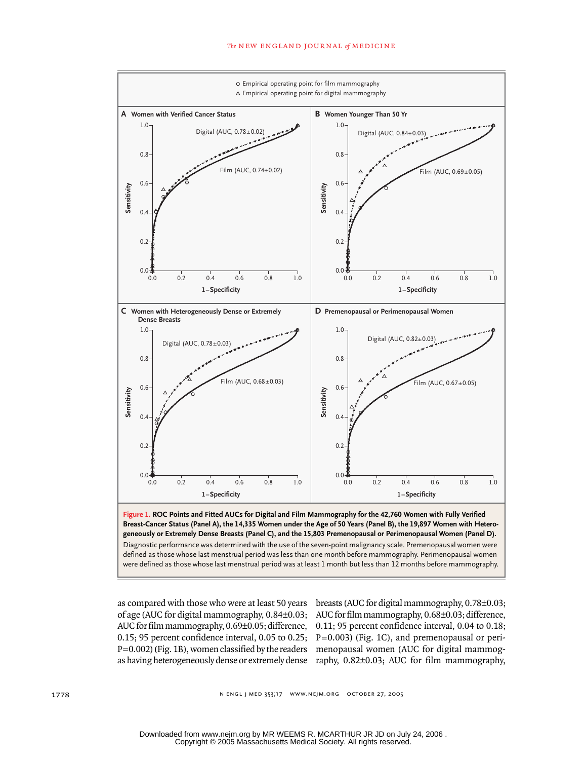#### *The* new england journal *of* medicine



as compared with those who were at least 50 years breasts (AUC for digital mammography, 0.78±0.03; of age (AUC for digital mammography, 0.84±0.03; AUC for film mammography, 0.68±0.03; difference, AUC for film mammography, 0.69±0.05; difference, 0.11; 95 percent confidence interval, 0.04 to 0.18; 0.15; 95 percent confidence interval, 0.05 to 0.25; P=0.003) (Fig. 1C), and premenopausal or peri-P=0.002) (Fig. 1B), women classified by the readers menopausal women (AUC for digital mammogas having heterogeneously dense or extremely dense raphy, 0.82±0.03; AUC for film mammography,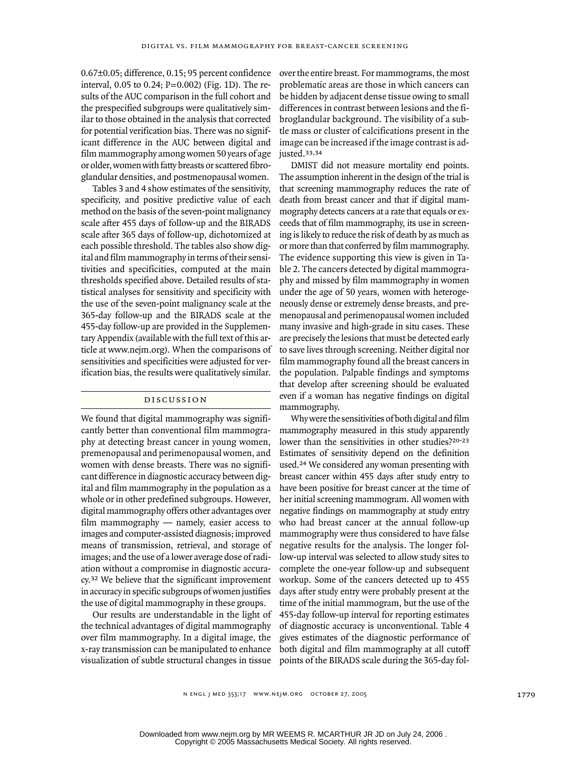0.67±0.05; difference, 0.15; 95 percent confidence interval, 0.05 to 0.24; P=0.002) (Fig. 1D). The results of the AUC comparison in the full cohort and the prespecified subgroups were qualitatively similar to those obtained in the analysis that corrected for potential verification bias. There was no significant difference in the AUC between digital and film mammography among women 50 years of age or older, women with fatty breasts or scattered fibroglandular densities, and postmenopausal women.

Tables 3 and 4 show estimates of the sensitivity, specificity, and positive predictive value of each method on the basis of the seven-point malignancy scale after 455 days of follow-up and the BIRADS scale after 365 days of follow-up, dichotomized at each possible threshold. The tables also show digital and film mammography in terms of their sensitivities and specificities, computed at the main thresholds specified above. Detailed results of statistical analyses for sensitivity and specificity with the use of the seven-point malignancy scale at the 365-day follow-up and the BIRADS scale at the 455-day follow-up are provided in the Supplementary Appendix (available with the full text of this article at www.nejm.org). When the comparisons of sensitivities and specificities were adjusted for verification bias, the results were qualitatively similar.

#### discussion

We found that digital mammography was significantly better than conventional film mammography at detecting breast cancer in young women, premenopausal and perimenopausal women, and women with dense breasts. There was no significant difference in diagnostic accuracy between digital and film mammography in the population as a whole or in other predefined subgroups. However, digital mammography offers other advantages over film mammography — namely, easier access to images and computer-assisted diagnosis; improved means of transmission, retrieval, and storage of images; and the use of a lower average dose of radiation without a compromise in diagnostic accuracy.32 We believe that the significant improvement in accuracy in specific subgroups of women justifies the use of digital mammography in these groups.

Our results are understandable in the light of the technical advantages of digital mammography over film mammography. In a digital image, the x-ray transmission can be manipulated to enhance visualization of subtle structural changes in tissue

over the entire breast. For mammograms, the most problematic areas are those in which cancers can be hidden by adjacent dense tissue owing to small differences in contrast between lesions and the fibroglandular background. The visibility of a subtle mass or cluster of calcifications present in the image can be increased if the image contrast is adjusted.33,34

DMIST did not measure mortality end points. The assumption inherent in the design of the trial is that screening mammography reduces the rate of death from breast cancer and that if digital mammography detects cancers at a rate that equals or exceeds that of film mammography, its use in screening is likely to reduce the risk of death by as much as or more than that conferred by film mammography. The evidence supporting this view is given in Table 2. The cancers detected by digital mammography and missed by film mammography in women under the age of 50 years, women with heterogeneously dense or extremely dense breasts, and premenopausal and perimenopausal women included many invasive and high-grade in situ cases. These are precisely the lesions that must be detected early to save lives through screening. Neither digital nor film mammography found all the breast cancers in the population. Palpable findings and symptoms that develop after screening should be evaluated even if a woman has negative findings on digital mammography.

Why were the sensitivities of both digital and film mammography measured in this study apparently lower than the sensitivities in other studies?<sup>20-23</sup> Estimates of sensitivity depend on the definition used.24 We considered any woman presenting with breast cancer within 455 days after study entry to have been positive for breast cancer at the time of her initial screening mammogram. All women with negative findings on mammography at study entry who had breast cancer at the annual follow-up mammography were thus considered to have false negative results for the analysis. The longer follow-up interval was selected to allow study sites to complete the one-year follow-up and subsequent workup. Some of the cancers detected up to 455 days after study entry were probably present at the time of the initial mammogram, but the use of the 455-day follow-up interval for reporting estimates of diagnostic accuracy is unconventional. Table 4 gives estimates of the diagnostic performance of both digital and film mammography at all cutoff points of the BIRADS scale during the 365-day fol-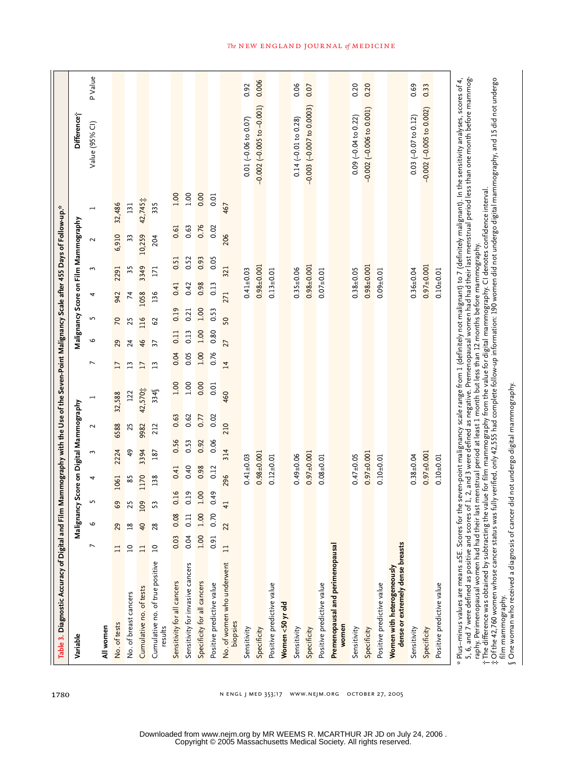| Table 3. Diagnostic Accuracy of Digital and Film Mammography with the Use of the Seven-Point Malignancy Scale after 455 Days of Follow-up.*                                                                                                                                                                                                                                                                                                                                                                                                                                                                     |                |                |                            |                 |                |                                         |                                                                                                |                 |                 |                |                 |      |                                      |         |                                                                                                                                                                                                                                                                 |         |
|-----------------------------------------------------------------------------------------------------------------------------------------------------------------------------------------------------------------------------------------------------------------------------------------------------------------------------------------------------------------------------------------------------------------------------------------------------------------------------------------------------------------------------------------------------------------------------------------------------------------|----------------|----------------|----------------------------|-----------------|----------------|-----------------------------------------|------------------------------------------------------------------------------------------------|-----------------|-----------------|----------------|-----------------|------|--------------------------------------|---------|-----------------------------------------------------------------------------------------------------------------------------------------------------------------------------------------------------------------------------------------------------------------|---------|
| Variable                                                                                                                                                                                                                                                                                                                                                                                                                                                                                                                                                                                                        |                |                |                            |                 |                | Malignancy Score on Digital Mammography |                                                                                                |                 |                 |                |                 |      | Malignancy Score on Film Mammography |         | Difference i                                                                                                                                                                                                                                                    |         |
| All women                                                                                                                                                                                                                                                                                                                                                                                                                                                                                                                                                                                                       |                | $\circ$        | L                          | 4               | 3              | 2                                       |                                                                                                | $\overline{ }$  | 9               | 5              | 4               | 3    | 2                                    |         | Value (95% CI)                                                                                                                                                                                                                                                  | P Value |
| No. of tests                                                                                                                                                                                                                                                                                                                                                                                                                                                                                                                                                                                                    | $\Xi$          | 29             | 69                         | 1061            | 2224           | 6588                                    | 32,588                                                                                         | $\overline{17}$ | 29              | $\overline{2}$ | 942             | 2291 | 6,910                                | 32,486  |                                                                                                                                                                                                                                                                 |         |
| No. of breast cancers                                                                                                                                                                                                                                                                                                                                                                                                                                                                                                                                                                                           | $\overline{a}$ | $^{18}$        | 25                         | 85              | $\frac{49}{5}$ | 25                                      | 122                                                                                            | $\overline{13}$ | 24              | 25             | $\overline{7}$  | 35   | 33                                   | 131     |                                                                                                                                                                                                                                                                 |         |
| Cumulative no. of tests                                                                                                                                                                                                                                                                                                                                                                                                                                                                                                                                                                                         | Ξ              | $\overline{a}$ | 109                        | 1170            | 3394           | 9982                                    | 42,570;                                                                                        | $\overline{17}$ | 46              | 116            | 1058            | 3349 | 10,259                               | 42,745; |                                                                                                                                                                                                                                                                 |         |
| Cumulative no. of true positive<br>results                                                                                                                                                                                                                                                                                                                                                                                                                                                                                                                                                                      | $\overline{a}$ | 28             | 53                         | 138             | 187            | 212                                     | 334                                                                                            | $\mathbf{L}$    | $\overline{37}$ | 62             | 136             | 171  | 204                                  | 335     |                                                                                                                                                                                                                                                                 |         |
| Sensitivity for all cancers                                                                                                                                                                                                                                                                                                                                                                                                                                                                                                                                                                                     | 0.03           | 0.08           | 91<br>ö                    | 0.41            | 0.56           | 0.63                                    | 1.00                                                                                           | 0.04            | 0.11            | 0.19           | 0.41            | 0.51 | 0.61                                 | 1.00    |                                                                                                                                                                                                                                                                 |         |
| Sensitivity for invasive cancers                                                                                                                                                                                                                                                                                                                                                                                                                                                                                                                                                                                | 0.04           | 0.11           | <b>n</b><br>O              | 0.40            | 0.53           | 0.62                                    | 1.00                                                                                           | 0.05            | 0.13            | 0.21           | 0.42            | 0.52 | 0.63                                 | 00.1    |                                                                                                                                                                                                                                                                 |         |
| Specificity for all cancers                                                                                                                                                                                                                                                                                                                                                                                                                                                                                                                                                                                     | 1.00           | 1.00           | $\infty$<br>$\overline{a}$ | 0.98            | 0.92           | 0.77                                    | 0.00                                                                                           | 1.00            | 1.00            | 1.00           | 0.98            | 0.93 | 0.76                                 | 0.00    |                                                                                                                                                                                                                                                                 |         |
| Positive predictive value                                                                                                                                                                                                                                                                                                                                                                                                                                                                                                                                                                                       | 0.91           | 0.70           | 49<br>O                    | 0.12            | 0.06           | 0.02                                    | 0.01                                                                                           | 0.76            | 0.80            | 0.53           | 0.13            | 0.05 | 0.02                                 | 0.01    |                                                                                                                                                                                                                                                                 |         |
| No. of women who underwent<br>biopsies                                                                                                                                                                                                                                                                                                                                                                                                                                                                                                                                                                          | $\Xi$          | 22             | $\overline{41}$            | 296             | 314            | 210                                     | 460                                                                                            | $\overline{1}$  | 27              | 50             | 271             | 321  | 206                                  | 467     |                                                                                                                                                                                                                                                                 |         |
| Sensitivity                                                                                                                                                                                                                                                                                                                                                                                                                                                                                                                                                                                                     |                |                |                            | $0.41 + 0.03$   |                |                                         |                                                                                                |                 |                 |                | $0.41 \pm 0.03$ |      |                                      |         | $0.01 (-0.06 to 0.07)$                                                                                                                                                                                                                                          | 0.92    |
| Specificity                                                                                                                                                                                                                                                                                                                                                                                                                                                                                                                                                                                                     |                |                |                            | $0.98 + 0.001$  |                |                                         |                                                                                                |                 |                 |                | $0.98 + 0.001$  |      |                                      |         | $-0.002$ $(-0.005$ to $-0.001)$                                                                                                                                                                                                                                 | 0.006   |
| Positive predictive value                                                                                                                                                                                                                                                                                                                                                                                                                                                                                                                                                                                       |                |                |                            | $0.12 \pm 0.01$ |                |                                         |                                                                                                |                 |                 |                | $0.13 + 0.01$   |      |                                      |         |                                                                                                                                                                                                                                                                 |         |
| Women <50 yr old                                                                                                                                                                                                                                                                                                                                                                                                                                                                                                                                                                                                |                |                |                            |                 |                |                                         |                                                                                                |                 |                 |                |                 |      |                                      |         |                                                                                                                                                                                                                                                                 |         |
| Sensitivity                                                                                                                                                                                                                                                                                                                                                                                                                                                                                                                                                                                                     |                |                |                            | $0.49 + 0.06$   |                |                                         |                                                                                                |                 |                 |                | $0.35 + 0.06$   |      |                                      |         | $0.14 (-0.01 to 0.28)$                                                                                                                                                                                                                                          | 0.06    |
| Specificity                                                                                                                                                                                                                                                                                                                                                                                                                                                                                                                                                                                                     |                |                |                            | $0.97 + 0.001$  |                |                                         |                                                                                                |                 |                 |                | $0.98 + 0.001$  |      |                                      |         | $-0.003$ $(-0.007$ to 0.0003)                                                                                                                                                                                                                                   | 0.07    |
| Positive predictive value                                                                                                                                                                                                                                                                                                                                                                                                                                                                                                                                                                                       |                |                |                            | $0.08 + 0.01$   |                |                                         |                                                                                                |                 |                 |                | $0.07 + 0.01$   |      |                                      |         |                                                                                                                                                                                                                                                                 |         |
| Premenopausal and perimenopausal<br>women                                                                                                                                                                                                                                                                                                                                                                                                                                                                                                                                                                       |                |                |                            |                 |                |                                         |                                                                                                |                 |                 |                |                 |      |                                      |         |                                                                                                                                                                                                                                                                 |         |
| Sensitivity                                                                                                                                                                                                                                                                                                                                                                                                                                                                                                                                                                                                     |                |                |                            | $0.47 + 0.05$   |                |                                         |                                                                                                |                 |                 |                | $0.38 + 0.05$   |      |                                      |         | $0.09$ $(-0.04$ to $0.22)$                                                                                                                                                                                                                                      | 0.20    |
| Specificity                                                                                                                                                                                                                                                                                                                                                                                                                                                                                                                                                                                                     |                |                |                            | $0.97 + 0.001$  |                |                                         |                                                                                                |                 |                 |                | $0.98 + 0.001$  |      |                                      |         | $-0.002$ $(-0.006$ to 0.001)                                                                                                                                                                                                                                    | 0.20    |
| Positive predictive value                                                                                                                                                                                                                                                                                                                                                                                                                                                                                                                                                                                       |                |                |                            | $0.10 + 0.01$   |                |                                         |                                                                                                |                 |                 |                | $0.09 + 0.01$   |      |                                      |         |                                                                                                                                                                                                                                                                 |         |
| dense or extremely dense breasts<br>Women with heterogeneously                                                                                                                                                                                                                                                                                                                                                                                                                                                                                                                                                  |                |                |                            |                 |                |                                         |                                                                                                |                 |                 |                |                 |      |                                      |         |                                                                                                                                                                                                                                                                 |         |
| Sensitivity                                                                                                                                                                                                                                                                                                                                                                                                                                                                                                                                                                                                     |                |                |                            | $0.38 + 0.04$   |                |                                         |                                                                                                |                 |                 |                | $0.36 + 0.04$   |      |                                      |         | $0.03 (-0.07 to 0.12)$                                                                                                                                                                                                                                          | 0.69    |
| Specificity                                                                                                                                                                                                                                                                                                                                                                                                                                                                                                                                                                                                     |                |                |                            | $0.97 + 0.001$  |                |                                         |                                                                                                |                 |                 |                | $0.97 + 0.001$  |      |                                      |         | $-0.002 (-0.005 to 0.002)$                                                                                                                                                                                                                                      | 0.33    |
| Positive predictive value                                                                                                                                                                                                                                                                                                                                                                                                                                                                                                                                                                                       |                |                |                            | $0.10 + 0.01$   |                |                                         |                                                                                                |                 |                 |                | $0.10 + 0.01$   |      |                                      |         |                                                                                                                                                                                                                                                                 |         |
| Plus-minus values are means ±SE. Scores for the seven-point malignancy scale range from 1 (definitely malignam) to 7 (definitely malignamt). In the sensitivity analyses, scores of 4,<br>raphy. Perimenopausal women had had their last menstrual period at least 1 month but less than 12 months before mammography.<br>Sone woman who received a diagnosis of cancer did not undergo digital mammography.<br>5, 6, and 7 were defined as positive and scores of 1,<br>† The difference was obtained by subtracting the valu<br>‡ Of the 42,760 women whose cancer status was fully<br>film mammography.<br>∗ |                |                |                            |                 |                |                                         | e for film mammography from the value for digital mammography. CI denotes confidence interval. |                 |                 |                |                 |      |                                      |         | verified, only 42,555 had complete follow-up information: 190 women did not undergo digital mammography, and 15 did not undergo<br>2, and 3 were defined as negative. Premenopausal women had had their last menstrual period less than one month before mammog |         |

1780

n engl j med 353;17 www.nejm.org october 27, 2005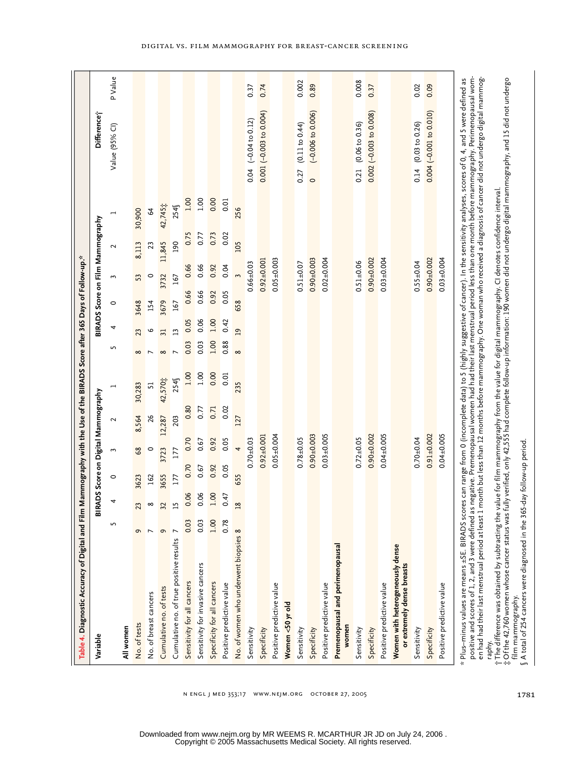|                                                                                                                             |                                     | P Value        |              |                          |                         |                                         |                             |                                  |                             |                           |                                       | 0.37                      | 0.74                      |                           |                  | 0.002                  | 0.89                           |                           |                                           | 0.008                  | 0.37                          |                           |                                                                | 0.02                   | 0.09                      |                           |                                                                                                                                                                                                                                                                                                                                                                                                                                                                                                                                                                                  |                                                                                                                                                                                                                                                                                                              |
|-----------------------------------------------------------------------------------------------------------------------------|-------------------------------------|----------------|--------------|--------------------------|-------------------------|-----------------------------------------|-----------------------------|----------------------------------|-----------------------------|---------------------------|---------------------------------------|---------------------------|---------------------------|---------------------------|------------------|------------------------|--------------------------------|---------------------------|-------------------------------------------|------------------------|-------------------------------|---------------------------|----------------------------------------------------------------|------------------------|---------------------------|---------------------------|----------------------------------------------------------------------------------------------------------------------------------------------------------------------------------------------------------------------------------------------------------------------------------------------------------------------------------------------------------------------------------------------------------------------------------------------------------------------------------------------------------------------------------------------------------------------------------|--------------------------------------------------------------------------------------------------------------------------------------------------------------------------------------------------------------------------------------------------------------------------------------------------------------|
|                                                                                                                             | Difference;                         | Value (95% Cl) |              |                          |                         |                                         |                             |                                  |                             |                           |                                       | $(-0.04 to 0.12)$<br>0.04 | $0.001 (-0.003 to 0.004)$ |                           |                  | (0.11 to 0.44)<br>0.27 | $(-0.006 to 0.006)$<br>$\circ$ |                           |                                           | (0.06 to 0.36)<br>0.21 | $0.002$ $(-0.003$ to $0.008)$ |                           |                                                                | (0.03 to 0.26)<br>0.14 | $0.004 (-0.001 to 0.010)$ |                           |                                                                                                                                                                                                                                                                                                                                                                                                                                                                                                                                                                                  |                                                                                                                                                                                                                                                                                                              |
|                                                                                                                             |                                     |                | 30,900       | $\mathcal{L}$            | 42,745 $\ddagger$       | 254                                     | 1.00                        | 1.00                             | 0.00                        | 0.01                      | 256                                   |                           |                           |                           |                  |                        |                                |                           |                                           |                        |                               |                           |                                                                |                        |                           |                           |                                                                                                                                                                                                                                                                                                                                                                                                                                                                                                                                                                                  |                                                                                                                                                                                                                                                                                                              |
|                                                                                                                             | BIRADS Score on Film Mammography    | 2              | 8,113        | 23                       | 11,845                  | 190                                     | 0.75                        | 0.77                             | 0.73                        | 0.02                      | 105                                   |                           |                           |                           |                  |                        |                                |                           |                                           |                        |                               |                           |                                                                |                        |                           |                           |                                                                                                                                                                                                                                                                                                                                                                                                                                                                                                                                                                                  |                                                                                                                                                                                                                                                                                                              |
|                                                                                                                             |                                     | 3              | 53           | $\circ$                  | 3732                    | 167                                     | 0.66                        | 0.66                             | 0.92                        | 0.04                      | 3                                     | $0.66 + 0.03$             | $0.92 \pm 0.001$          | $0.05 + 0.003$            |                  | $0.51 + 0.07$          | $0.90 + 0.003$                 | $0.02 + 0.004$            |                                           | $0.51 \pm 0.06$        | $0.90 + 0.002$                | $0.03 + 0.004$            |                                                                | $0.55 \pm 0.04$        | $0.90 + 0.002$            | $0.03 + 0.004$            |                                                                                                                                                                                                                                                                                                                                                                                                                                                                                                                                                                                  |                                                                                                                                                                                                                                                                                                              |
|                                                                                                                             |                                     | $\circ$        | 3648         | 154                      | 3679                    | 167                                     | 0.66                        | 0.66                             | 0.92                        | 0.05                      | 658                                   |                           |                           |                           |                  |                        |                                |                           |                                           |                        |                               |                           |                                                                |                        |                           |                           |                                                                                                                                                                                                                                                                                                                                                                                                                                                                                                                                                                                  |                                                                                                                                                                                                                                                                                                              |
|                                                                                                                             |                                     | 4              | 23           | o                        | 31                      | 13                                      | 0.05                        | 0.06                             | $00^{1}$                    | 0.42                      | $\overline{a}$                        |                           |                           |                           |                  |                        |                                |                           |                                           |                        |                               |                           |                                                                |                        |                           |                           |                                                                                                                                                                                                                                                                                                                                                                                                                                                                                                                                                                                  |                                                                                                                                                                                                                                                                                                              |
|                                                                                                                             |                                     | 5              | $\infty$     | $\overline{\phantom{0}}$ | $\infty$                |                                         | 0.03                        | 0.03                             | 1.00                        | 0.88                      | $\infty$                              |                           |                           |                           |                  |                        |                                |                           |                                           |                        |                               |                           |                                                                |                        |                           |                           |                                                                                                                                                                                                                                                                                                                                                                                                                                                                                                                                                                                  |                                                                                                                                                                                                                                                                                                              |
|                                                                                                                             |                                     |                | 30,283       | 51                       | 42,570;                 | 254                                     | 1.00                        | 1.00                             | 0.00                        | 0.01                      | 235                                   |                           |                           |                           |                  |                        |                                |                           |                                           |                        |                               |                           |                                                                |                        |                           |                           |                                                                                                                                                                                                                                                                                                                                                                                                                                                                                                                                                                                  |                                                                                                                                                                                                                                                                                                              |
|                                                                                                                             | BIRADS Score on Digital Mammography | 2              | 8,564        | 26                       | 12,287                  | 203                                     | 0.80                        | 0.77                             | 0.71                        | 0.02                      | 127                                   |                           |                           |                           |                  |                        |                                |                           |                                           |                        |                               |                           |                                                                |                        |                           |                           |                                                                                                                                                                                                                                                                                                                                                                                                                                                                                                                                                                                  |                                                                                                                                                                                                                                                                                                              |
|                                                                                                                             |                                     | 3              | 39           | $\circ$                  | 3723                    | 177                                     | 0.70                        | 0.67                             | 0.92                        | 0.05                      | 4                                     | $0.70 + 0.03$             | $0.92 \pm 0.001$          | $0.05 + 0.004$            |                  | $0.78 + 0.05$          | $0.90 + 0.003$                 | $0.03 + 0.005$            |                                           | $0.72 \pm 0.05$        | $0.90 + 0.002$                | $0.04 + 0.005$            |                                                                | $0.70 + 0.04$          | $0.91 + 0.002$            | $0.04 + 0.005$            |                                                                                                                                                                                                                                                                                                                                                                                                                                                                                                                                                                                  |                                                                                                                                                                                                                                                                                                              |
|                                                                                                                             |                                     | $\circ$        | 3623         | 162                      | 3655                    | 177                                     | 0.70                        | 0.67                             | 0.92                        | 0.05                      | 655                                   |                           |                           |                           |                  |                        |                                |                           |                                           |                        |                               |                           |                                                                |                        |                           |                           |                                                                                                                                                                                                                                                                                                                                                                                                                                                                                                                                                                                  |                                                                                                                                                                                                                                                                                                              |
|                                                                                                                             |                                     | 4              | ಇ            |                          | $\frac{3}{2}$           | H                                       | 0.06                        | 0.06                             | 1.00                        | 0.47                      |                                       |                           |                           |                           |                  |                        |                                |                           |                                           |                        |                               |                           |                                                                |                        |                           |                           |                                                                                                                                                                                                                                                                                                                                                                                                                                                                                                                                                                                  |                                                                                                                                                                                                                                                                                                              |
|                                                                                                                             |                                     | S              | e            | $\overline{ }$           | G                       |                                         | 0.03                        | 0.03                             | 1.00                        | 0.78                      |                                       |                           |                           |                           |                  |                        |                                |                           |                                           |                        |                               |                           |                                                                |                        |                           |                           |                                                                                                                                                                                                                                                                                                                                                                                                                                                                                                                                                                                  |                                                                                                                                                                                                                                                                                                              |
| " Table 4. Diagnostic Accuracy of Digital and Film Mammography with the Use of the BIRADS Score after 365 Days of Follow-up | Variable                            | All women      | No. of tests | No. of breast cancers    | Cumulative no. of tests | Cumulative no. of true positive results | Sensitivity for all cancers | Sensitivity for invasive cancers | Specificity for all cancers | Positive predictive value | No. of women who underwent biopsies 8 | Sensitivity               | Specificity               | Positive predictive value | Women <50 yr old | Sensitivity            | Specificity                    | Positive predictive value | Premenopausal and perimenopausal<br>women | Sensitivity            | Specificity                   | Positive predictive value | Women with heterogeneously dense<br>or extremely dense breasts | Sensitivity            | Specificity               | Positive predictive value | positive and scores of 1, 2, and 3 were defined as negative. Premenopausal women had their last menstrual period less than one month before mammography. Perimenopausal wom-<br>en had had their last menstrual period at least 1 month but less than 12 months before mammography. One woman who received a diagnosis of cancer did not undergo digital mammog<br>Plus-minus values are means ±SE. BIRADS scores can range from 0 (incomplete data) to 5 (highly suggestive of cancer). In the sensitivity analyses, scores of 0, 4, and 5 were defined as<br>raphy.<br>$\star$ | † The difference was obtained by subtracting the value for film mammography from the value for digital mammography. CI denotes confidence interval.<br>‡ Of the 42,760 women whose cancer status was fully verified, only 42,555<br>§ A total of 254 cancers were diagnosed in the 365-<br>film mammography. |

1781

Copyright © 2005 Massachusetts Medical Society. All rights reserved. Downloaded from www.nejm.org by MR WEEMS R. MCARTHUR JR JD on July 24, 2006 .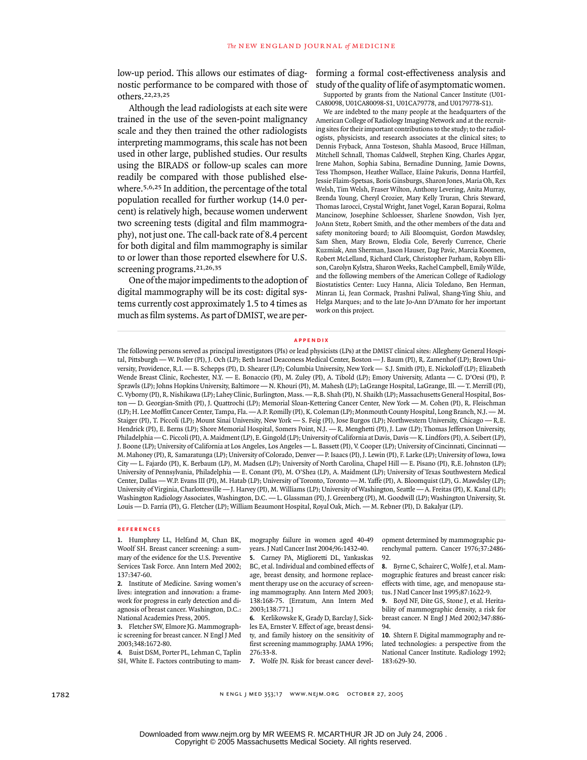low-up period. This allows our estimates of diagnostic performance to be compared with those of study of the quality of life of asymptomatic women. others.22,23,25

Although the lead radiologists at each site were trained in the use of the seven-point malignancy scale and they then trained the other radiologists interpreting mammograms, this scale has not been used in other large, published studies. Our results using the BIRADS or follow-up scales can more readily be compared with those published elsewhere.5,6,25 In addition, the percentage of the total population recalled for further workup (14.0 percent) is relatively high, because women underwent two screening tests (digital and film mammography), not just one. The call-back rate of 8.4 percent for both digital and film mammography is similar to or lower than those reported elsewhere for U.S. screening programs.21,26,35

One of the major impediments to the adoption of digital mammography will be its cost: digital systems currently cost approximately 1.5 to 4 times as much as film systems. As part of DMIST, we are performing a formal cost-effectiveness analysis and

Supported by grants from the National Cancer Institute (U01- CA80098, U01CA80098-S1, U01CA79778, and U0179778-S1).

We are indebted to the many people at the headquarters of the American College of Radiology Imaging Network and at the recruiting sites for their important contributions to the study; to the radiologists, physicists, and research associates at the clinical sites; to Dennis Fryback, Anna Tosteson, Shahla Masood, Bruce Hillman, Mitchell Schnall, Thomas Caldwell, Stephen King, Charles Apgar, Irene Mahon, Sophia Sabina, Bernadine Dunning, Jamie Downs, Tess Thompson, Heather Wallace, Elaine Pakuris, Donna Hartfeil, Jessie Flaim-Spetsas, Boris Ginsburgs, Sharon Jones, Maria Oh, Rex Welsh, Tim Welsh, Fraser Wilton, Anthony Levering, Anita Murray, Brenda Young, Cheryl Crozier, Mary Kelly Truran, Chris Steward, Thomas Iarocci, Crystal Wright, Janet Vogel, Karan Boparai, Rolma Mancinow, Josephine Schloesser, Sharlene Snowdon, Vish Iyer, JoAnn Stetz, Robert Smith, and the other members of the data and safety monitoring board; to Aili Bloomquist, Gordon Mawdsley, Sam Shen, Mary Brown, Elodia Cole, Beverly Currence, Cherie Kuzmiak, Ann Sherman, Jason Hauser, Dag Pavic, Marcia Koomen, Robert McLelland, Richard Clark, Christopher Parham, Robyn Ellison, Carolyn Kylstra, Sharon Weeks, Rachel Campbell, Emily Wilde, and the following members of the American College of Radiology Biostatistics Center: Lucy Hanna, Alicia Toledano, Ben Herman, Minran Li, Jean Cormack, Prashni Paliwal, Shang-Ying Shiu, and Helga Marques; and to the late Jo-Ann D'Amato for her important work on this project.

#### **appendix**

The following persons served as principal investigators (PIs) or lead physicists (LPs) at the DMIST clinical sites: Allegheny General Hospital, Pittsburgh — W. Poller (PI), J. Och (LP); Beth Israel Deaconess Medical Center, Boston — J. Baum (PI), R. Zamenhof (LP); Brown University, Providence, R.I. — B. Schepps (PI), D. Shearer (LP); Columbia University, New York — S.J. Smith (PI), E. Nickoloff (LP); Elizabeth Wende Breast Clinic, Rochester, N.Y. — E. Bonaccio (PI), M. Zuley (PI), A. Tibold (LP); Emory University, Atlanta — C. D'Orsi (PI), P. Sprawls (LP); Johns Hopkins University, Baltimore — N. Khouri (PI), M. Mahesh (LP); LaGrange Hospital, LaGrange, Ill. — T. Merrill (PI), C. Vyborny (PI), R. Nishikawa (LP); Lahey Clinic, Burlington, Mass. — R.B. Shah (PI), N. Shaikh (LP); Massachusetts General Hospital, Boston — D. Georgian-Smith (PI), J. Quattrochi (LP); Memorial Sloan-Kettering Cancer Center, New York — M. Cohen (PI), R. Fleischman (LP); H. Lee Moffitt Cancer Center, Tampa, Fla. — A.P. Romilly (PI), K. Coleman (LP); Monmouth County Hospital, Long Branch, N.J. — M. Staiger (PI), T. Piccoli (LP); Mount Sinai University, New York - S. Feig (PI), Jose Burgos (LP); Northwestern University, Chicago -Hendrick (PI), E. Berns (LP); Shore Memorial Hospital, Somers Point, N.J. — R. Menghetti (PI), J. Law (LP); Thomas Jefferson University, Philadelphia — C. Piccoli (PI), A. Maidment (LP), E. Gingold (LP); University of California at Davis, Davis — K. Lindfors (PI), A. Seibert (LP), J. Boone (LP); University of California at Los Angeles, Los Angeles — L. Bassett (PI), V. Cooper (LP); University of Cincinnati, Cincinnati — M. Mahoney (PI), R. Samaratunga (LP); University of Colorado, Denver — P. Isaacs (PI), J. Lewin (PI), F. Larke (LP); University of Iowa, Iowa City — L. Fajardo (PI), K. Berbaum (LP), M. Madsen (LP); University of North Carolina, Chapel Hill — E. Pisano (PI), R.E. Johnston (LP); University of Pennsylvania, Philadelphia — E. Conant (PI), M. O'Shea (LP), A. Maidment (LP); University of Texas Southwestern Medical Center, Dallas — W.P. Evans III (PI), M. Hatab (LP); University of Toronto, Toronto — M. Yaffe (PI), A. Bloomquist (LP), G. Mawdsley (LP); University of Virginia, Charlottesville — J. Harvey (PI), M. Williams (LP); University of Washington, Seattle — A. Freitas (PI), K. Kanal (LP); Washington Radiology Associates, Washington, D.C. — L. Glassman (PI), J. Greenberg (PI), M. Goodwill (LP); Washington University, St. Louis — D. Farria (PI), G. Fletcher (LP); William Beaumont Hospital, Royal Oak, Mich. — M. Rebner (PI), D. Bakalyar (LP).

#### **references**

**1.** Humphrey LL, Helfand M, Chan BK, Woolf SH. Breast cancer screening: a summary of the evidence for the U.S. Preventive Services Task Force. Ann Intern Med 2002; 137:347-60.

**2.** Institute of Medicine. Saving women's lives: integration and innovation: a framework for progress in early detection and diagnosis of breast cancer. Washington, D.C.: National Academies Press, 2005.

**3.** Fletcher SW, Elmore JG. Mammographic screening for breast cancer. N Engl J Med 2003;348:1672-80.

**4.** Buist DSM, Porter PL, Lehman C, Taplin SH, White E. Factors contributing to mam-**7.** Wolfe JN. Risk for breast cancer devel-

mography failure in women aged 40-49 years. J Natl Cancer Inst 2004;96:1432-40.

**5.** Carney PA, Miglioretti DL, Yankaskas BC, et al. Individual and combined effects of age, breast density, and hormone replacement therapy use on the accuracy of screening mammography. Ann Intern Med 2003; 138:168-75. [Erratum, Ann Intern Med 2003;138:771.]

**6.** Kerlikowske K, Grady D, Barclay J, Sickles EA, Ernster V. Effect of age, breast density, and family history on the sensitivity of first screening mammography. JAMA 1996; 276:33-8.

opment determined by mammographic parenchymal pattern. Cancer 1976;37:2486- 92.

**8.** Byrne C, Schairer C, Wolfe J, et al. Mammographic features and breast cancer risk: effects with time, age, and menopause status. J Natl Cancer Inst 1995;87:1622-9.

**9.** Boyd NF, Dite GS, Stone J, et al. Heritability of mammographic density, a risk for breast cancer. N Engl J Med 2002;347:886- 94.

**10.** Shtern F. Digital mammography and related technologies: a perspective from the National Cancer Institute. Radiology 1992; 183:629-30.